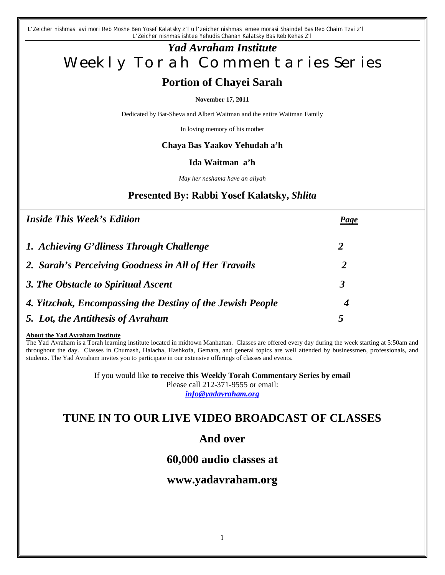*L'Zeicher nishmas avi mori Reb Moshe Ben Yosef Kalatsky z'l u l'zeicher nishmas emee morasi Shaindel Bas Reb Chaim Tzvi z'l L'Zeicher nishmas ishtee Yehudis Chanah Kalatsky Bas Reb Kehas Z'l*

# *Yad Avraham Institute* Weekly Torah Commentaries Series

# **Portion of Chayei Sarah**

#### **November 17, 2011**

Dedicated by Bat-Sheva and Albert Waitman and the entire Waitman Family

In loving memory of his mother

## **Chaya Bas Yaakov Yehudah a'h**

#### **Ida Waitman a'h**

*May her neshama have an aliyah*

# **Presented By: Rabbi Yosef Kalatsky,** *Shlita*

| <b>Inside This Week's Edition</b>                          | <b>Page</b> |
|------------------------------------------------------------|-------------|
| 1. Achieving G'dliness Through Challenge                   | 2           |
| 2. Sarah's Perceiving Goodness in All of Her Travails      | 2           |
| 3. The Obstacle to Spiritual Ascent                        | 3           |
| 4. Yitzchak, Encompassing the Destiny of the Jewish People | 4           |
| 5. Lot, the Antithesis of Avraham                          | 5           |

#### **About the Yad Avraham Institute**

The Yad Avraham is a Torah learning institute located in midtown Manhattan. Classes are offered every day during the week starting at 5:50am and throughout the day. Classes in Chumash, Halacha, Hashkofa, Gemara, and general topics are well attended by businessmen, professionals, and students. The Yad Avraham invites you to participate in our extensive offerings of classes and events.

> If you would like **to receive this Weekly Torah Commentary Series by email** Please call 212-371-9555 or email: *info@yadavraham.org*

# **TUNE IN TO OUR LIVE VIDEO BROADCAST OF CLASSES**

# **And over**

# **60,000 audio classes at**

# **www.yadavraham.org**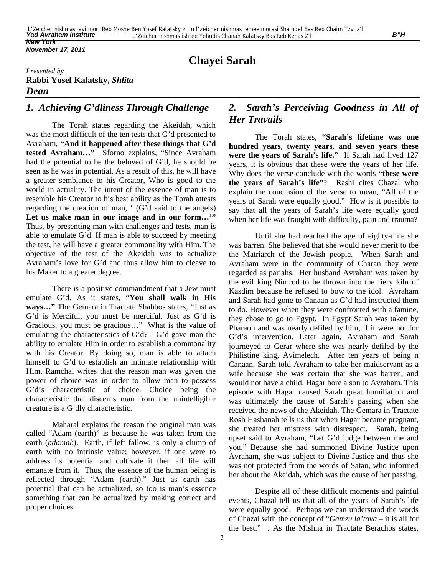*November 17, 2011*

# **Chayei Sarah**

### *Presented by* **Rabbi Yosef Kalatsky,** *Shlita Dean*

## *1. Achieving G'dliness Through Challenge*

The Torah states regarding the Akeidah, which was the most difficult of the ten tests that G'd presented to Avraham, **"And it happened after these things that G'd tested Avraham…"** Sforno explains, "Since Avraham had the potential to be the beloved of G'd, he should be seen as he was in potential. As a result of this, he will have a greater semblance to his Creator, Who is good to the world in actuality. The intent of the essence of man is to resemble his Creator to his best ability as the Torah attests regarding the creation of man, ' (G'd said to the angels) Let us make man in our image and in our form..." Thus, by presenting man with challenges and tests, man is able to emulate G'd. If man is able to succeed by meeting the test, he will have a greater commonality with Him. The objective of the test of the Akeidah was to actualize Avraham's love for G'd and thus allow him to cleave to his Maker to a greater degree.

There is a positive commandment that a Jew must emulate G'd. As it states, "**You shall walk in His ways…"** The Gemara in Tractate Shabbos states, "Just as G'd is Merciful, you must be merciful. Just as G'd is Gracious, you must be gracious…" What is the value of emulating the characteristics of G'd? G'd gave man the ability to emulate Him in order to establish a commonality with his Creator. By doing so, man is able to attach himself to G'd to establish an intimate relationship with Him. Ramchal writes that the reason man was given the power of choice was in order to allow man to possess G'd's characteristic of choice. Choice being the characteristic that discerns man from the unintelligible creature is a G'dly characteristic.

Maharal explains the reason the original man was called "Adam (earth)" is because he was taken from the earth (*adamah*). Earth, if left fallow, is only a clump of earth with no intrinsic value; however, if one were to address its potential and cultivate it then all life will emanate from it. Thus, the essence of the human being is reflected through "Adam (earth)." Just as earth has potential that can be actualized, so too is man's essence something that can be actualized by making correct and proper choices.

## *2. Sarah's Perceiving Goodness in All of Her Travails*

The Torah states, **"Sarah's lifetime was one hundred years, twenty years, and seven years these were the years of Sarah's life."** If Sarah had lived 127 years, it is obvious that these were the years of her life. Why does the verse conclude with the words **"these were the years of Sarah's life"**? Rashi cites Chazal who explain the conclusion of the verse to mean, "All of the years of Sarah were equally good." How is it possible to say that all the years of Sarah's life were equally good when her life was fraught with difficulty, pain and trauma?

Until she had reached the age of eighty-nine she was barren. She believed that she would never merit to tbe the Matriarch of the Jewish people. When Sarah and Avraham were in the community of Charan they were regarded as pariahs. Her husband Avraham was taken by the evil king Nimrod to be thrown into the fiery kiln of Kasdim because he refused to bow to the idol. Avraham and Sarah had gone to Canaan as G'd had instructed them to do. However when they were confronted with a famine, they chose to go to Egypt. In Egypt Sarah was taken by Pharaoh and was nearly defiled by him, if it were not for G'd's intervention. Later again, Avraham and Sarah journeyed to Gerar where she was nearly defiled by the Philistine king, Avimelech. After ten years of being n Canaan, Sarah told Avraham to take her maidservant as a wife because she was certain that she was barren, and would not have a child. Hagar bore a son to Avraham. This episode with Hagar caused Sarah great humiliation and was ultimately the cause of Sarah's passing when she received the news of the Akeidah. The Gemara in Tractate Rosh Hashanah tells us that when Hagar became pregnant, she treated her mistress with disrespect. Sarah, being upset said to Avraham, "Let G'd judge between me and you." Because she had summoned Divine Justice upon Avraham, she was subject to Divine Justice and thus she was not protected from the words of Satan, who informed her about the Akeidah, which was the cause of her passing.

Despite all of these difficult moments and painful events, Chazal tell us that all of the years of Sarah's life were equally good. Perhaps we can understand the words of Chazal with the concept of "*Gamzu la'tova* – it is all for the best." . As the Mishna in Tractate Berachos states,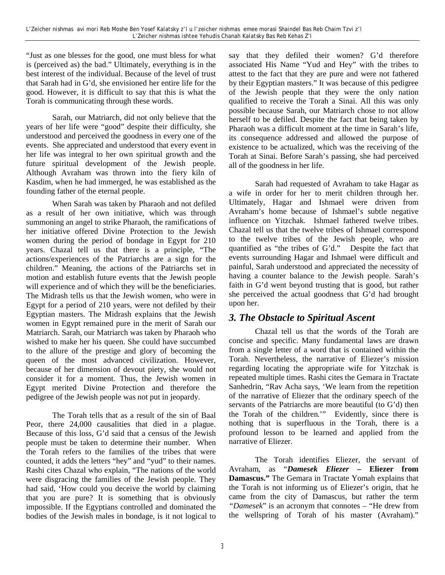"Just as one blesses for the good, one must bless for what is (perceived as) the bad." Ultimately, everything is in the best interest of the individual. Because of the level of trust that Sarah had in G'd, she envisioned her entire life for the good. However, it is difficult to say that this is what the Torah is communicating through these words.

Sarah, our Matriarch, did not only believe that the years of her life were "good" despite their difficulty, she understood and perceived the goodness in every one of the events. She appreciated and understood that every event in her life was integral to her own spiritual growth and the future spiritual development of the Jewish people. Although Avraham was thrown into the fiery kiln of Kasdim, when he had immerged, he was established as the founding father of the eternal people.

When Sarah was taken by Pharaoh and not defiled as a result of her own initiative, which was through summoning an angel to strike Pharaoh, the ramifications of her initiative offered Divine Protection to the Jewish women during the period of bondage in Egypt for 210 years. Chazal tell us that there is a principle, "The actions/experiences of the Patriarchs are a sign for the children." Meaning, the actions of the Patriarchs set in motion and establish future events that the Jewish people will experience and of which they will be the beneficiaries. The Midrash tells us that the Jewish women, who were in Egypt for a period of 210 years, were not defiled by their Egyptian masters. The Midrash explains that the Jewish women in Egypt remained pure in the merit of Sarah our Matriarch. Sarah, our Matriarch was taken by Pharaoh who wished to make her his queen. She could have succumbed to the allure of the prestige and glory of becoming the queen of the most advanced civilization. However, because of her dimension of devout piety, she would not consider it for a moment. Thus, the Jewish women in Egypt merited Divine Protection and therefore the pedigree of the Jewish people was not put in jeopardy.

The Torah tells that as a result of the sin of Baal Peor, there 24,000 causalities that died in a plague. Because of this loss, G'd said that a census of the Jewish people must be taken to determine their number. When the Torah refers to the families of the tribes that were counted, it adds the letters "hey" and "yud" to their names. Rashi cites Chazal who explain, "The nations of the world were disgracing the families of the Jewish people. They had said, 'How could you deceive the world by claiming that you are pure? It is something that is obviously impossible. If the Egyptians controlled and dominated the bodies of the Jewish males in bondage, is it not logical to

say that they defiled their women? G'd therefore associated His Name "Yud and Hey" with the tribes to attest to the fact that they are pure and were not fathered by their Egyptian masters." It was because of this pedigree of the Jewish people that they were the only nation qualified to receive the Torah a Sinai. All this was only possible because Sarah, our Matriarch chose to not allow herself to be defiled. Despite the fact that being taken by Pharaoh was a difficult moment at the time in Sarah's life, its consequence addressed and allowed the purpose of existence to be actualized, which was the receiving of the Torah at Sinai. Before Sarah's passing, she had perceived all of the goodness in her life.

Sarah had requested of Avraham to take Hagar as a wife in order for her to merit children through her. Ultimately, Hagar and Ishmael were driven from Avraham's home because of Ishmael's subtle negative influence on Yitzchak. Ishmael fathered twelve tribes. Chazal tell us that the twelve tribes of Ishmael correspond to the twelve tribes of the Jewish people, who are quantified as "the tribes of G'd." Despite the fact that events surrounding Hagar and Ishmael were difficult and painful, Sarah understood and appreciated the necessity of having a counter balance to the Jewish people. Sarah's faith in G'd went beyond trusting that is good, but rather she perceived the actual goodness that G'd had brought upon her.

## *3. The Obstacle to Spiritual Ascent*

Chazal tell us that the words of the Torah are concise and specific. Many fundamental laws are drawn from a single letter of a word that is contained within the Torah. Nevertheless, the narrative of Eliezer's mission regarding locating the appropriate wife for Yitzchak is repeated multiple times. Rashi cites the Gemara in Tractate Sanhedrin, "Rav Acha says, 'We learn from the repetition of the narrative of Eliezer that the ordinary speech of the servants of the Patriarchs are more beautiful (to G'd) then the Torah of the children.'" Evidently, since there is nothing that is superfluous in the Torah, there is a profound lesson to be learned and applied from the narrative of Eliezer.

The Torah identifies Eliezer, the servant of Avraham, as "*Damesek Eliezer* **– Eliezer from Damascus."** The Gemara in Tractate Yomah explains that the Torah is not informing us of Eliezer's origin, that he came from the city of Damascus, but rather the term *"Damesek*" is an acronym that connotes – "He drew from the wellspring of Torah of his master (Avraham)."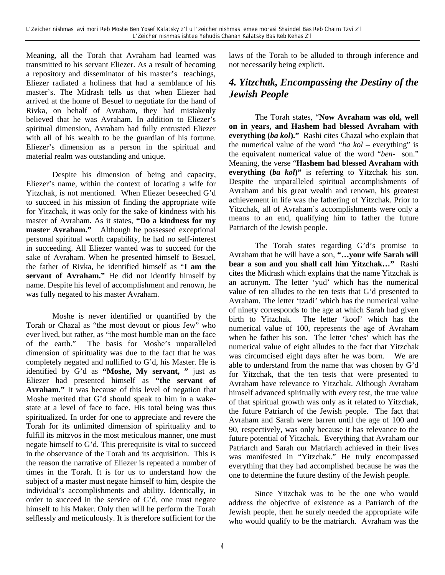Meaning, all the Torah that Avraham had learned was transmitted to his servant Eliezer. As a result of becoming a repository and disseminator of his master's teachings, Eliezer radiated a holiness that had a semblance of his master's. The Midrash tells us that when Eliezer had arrived at the home of Besuel to negotiate for the hand of Rivka, on behalf of Avraham, they had mistakenly believed that he was Avraham. In addition to Eliezer's spiritual dimension, Avraham had fully entrusted Eliezer with all of his wealth to be the guardian of his fortune. Eliezer's dimension as a person in the spiritual and material realm was outstanding and unique.

Despite his dimension of being and capacity, Eliezer's name, within the context of locating a wife for Yitzchak, is not mentioned. When Eliezer beseeched G'd to succeed in his mission of finding the appropriate wife for Yitzchak, it was only for the sake of kindness with his master of Avraham. As it states, **"Do a kindness for my master Avraham."** Although he possessed exceptional personal spiritual worth capability, he had no self-interest in succeeding. All Eliezer wanted was to succeed for the sake of Avraham. When he presented himself to Besuel, the father of Rivka, he identified himself as "**I am the servant of Avraham."** He did not identify himself by name. Despite his level of accomplishment and renown, he was fully negated to his master Avraham.

Moshe is never identified or quantified by the Torah or Chazal as "the most devout or pious Jew" who ever lived, but rather, as "the most humble man on the face of the earth." The basis for Moshe's unparalleled dimension of spirituality was due to the fact that he was completely negated and nullified to G'd, his Master. He is identified by G'd as **"Moshe, My servant, "** just as Eliezer had presented himself as **"the servant of Avraham."** It was because of this level of negation that Moshe merited that G'd should speak to him in a wakestate at a level of face to face. His total being was thus spiritualized. In order for one to appreciate and revere the Torah for its unlimited dimension of spirituality and to fulfill its mitzvos in the most meticulous manner, one must negate himself to G'd. This prerequisite is vital to succeed in the observance of the Torah and its acquisition. This is the reason the narrative of Eliezer is repeated a number of times in the Torah. It is for us to understand how the subject of a master must negate himself to him, despite the individual's accomplishments and ability. Identically, in order to succeed in the service of G'd, one must negate himself to his Maker. Only then will he perform the Torah selflessly and meticulously. It is therefore sufficient for the

laws of the Torah to be alluded to through inference and not necessarily being explicit.

## *4. Yitzchak, Encompassing the Destiny of the Jewish People*

The Torah states, "**Now Avraham was old, well on in years, and Hashem had blessed Avraham with everything (***ba kol***)."** Rashi cites Chazal who explain that the numerical value of the word *"ba kol* – everything" is the equivalent numerical value of the word "*ben-* son." Meaning, the verse "**Hashem had blessed Avraham with everything (***ba kol***)"** is referring to Yitzchak his son. Despite the unparalleled spiritual accomplishments of Avraham and his great wealth and renown, his greatest achievement in life was the fathering of Yitzchak. Prior to Yitzchak, all of Avraham's accomplishments were only a means to an end, qualifying him to father the future Patriarch of the Jewish people.

The Torah states regarding G'd's promise to Avraham that he will have a son, **"…your wife Sarah will bear a son and you shall call him Yitzchak…"** Rashi cites the Midrash which explains that the name Yitzchak is an acronym. The letter 'yud' which has the numerical value of ten alludes to the ten tests that G'd presented to Avraham. The letter 'tzadi' which has the numerical value of ninety corresponds to the age at which Sarah had given birth to Yitzchak. The letter 'koof' which has the numerical value of 100, represents the age of Avraham when he father his son. The letter 'ches' which has the numerical value of eight alludes to the fact that Yitzchak was circumcised eight days after he was born. We are able to understand from the name that was chosen by G'd for Yitzchak, that the ten tests that were presented to Avraham have relevance to Yitzchak. Although Avraham himself advanced spiritually with every test, the true value of that spiritual growth was only as it related to Yitzchak, the future Patriarch of the Jewish people. The fact that Avraham and Sarah were barren until the age of 100 and 90, respectively, was only because it has relevance to the future potential of Yitzchak. Everything that Avraham our Patriarch and Sarah our Matriarch achieved in their lives was manifested in "Yitzchak." He truly encompassed everything that they had accomplished because he was the one to determine the future destiny of the Jewish people.

Since Yitzchak was to be the one who would address the objective of existence as a Patriarch of the Jewish people, then he surely needed the appropriate wife who would qualify to be the matriarch. Avraham was the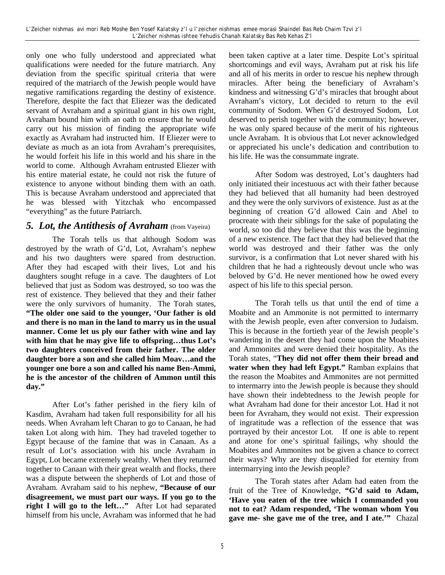only one who fully understood and appreciated what qualifications were needed for the future matriarch. Any deviation from the specific spiritual criteria that were required of the matriarch of the Jewish people would have negative ramifications regarding the destiny of existence. Therefore, despite the fact that Eliezer was the dedicated servant of Avraham and a spiritual giant in his own right, Avraham bound him with an oath to ensure that he would carry out his mission of finding the appropriate wife exactly as Avraham had instructed him. If Eliezer were to deviate as much as an iota from Avraham's prerequisites, he would forfeit his life in this world and his share in the world to come. Although Avraham entrusted Eliezer with his entire material estate, he could not risk the future of existence to anyone without binding them with an oath. This is because Avraham understood and appreciated that he was blessed with Yitzchak who encompassed "everything" as the future Patriarch.

## **5. Lot, the Antithesis of Avraham** (from Vayeira)

The Torah tells us that although Sodom was destroyed by the wrath of G'd, Lot, Avraham's nephew and his two daughters were spared from destruction. After they had escaped with their lives, Lot and his daughters sought refuge in a cave. The daughters of Lot believed that just as Sodom was destroyed, so too was the rest of existence. They believed that they and their father were the only survivors of humanity. The Torah states, **"The older one said to the younger, 'Our father is old and there is no man in the land to marry us in the usual manner. Come let us ply our father with wine and lay with him that he may give life to offspring…thus Lot's two daughters conceived from their father. The older daughter bore a son and she called him Moav…and the younger one bore a son and called his name Ben-Ammi, he is the ancestor of the children of Ammon until this day."**

After Lot's father perished in the fiery kiln of Kasdim, Avraham had taken full responsibility for all his needs. When Avraham left Charan to go to Canaan, he had taken Lot along with him. They had traveled together to Egypt because of the famine that was in Canaan. As a result of Lot's association with his uncle Avraham in Egypt, Lot became extremely wealthy. When they returned together to Canaan with their great wealth and flocks, there was a dispute between the shepherds of Lot and those of Avraham. Avraham said to his nephew, **"Because of our disagreement, we must part our ways. If you go to the right I will go to the left…"** After Lot had separated himself from his uncle, Avraham was informed that he had

been taken captive at a later time. Despite Lot's spiritual shortcomings and evil ways, Avraham put at risk his life and all of his merits in order to rescue his nephew through miracles. After being the beneficiary of Avraham's kindness and witnessing G'd's miracles that brought about Avraham's victory, Lot decided to return to the evil community of Sodom. When G'd destroyed Sodom, Lot deserved to perish together with the community; however, he was only spared because of the merit of his righteous uncle Avraham. It is obvious that Lot never acknowledged or appreciated his uncle's dedication and contribution to his life. He was the consummate ingrate.

After Sodom was destroyed, Lot's daughters had only initiated their incestuous act with their father because they had believed that all humanity had been destroyed and they were the only survivors of existence. Just as at the beginning of creation G'd allowed Cain and Abel to procreate with their siblings for the sake of populating the world, so too did they believe that this was the beginning of a new existence. The fact that they had believed that the world was destroyed and their father was the only survivor, is a confirmation that Lot never shared with his children that he had a righteously devout uncle who was beloved by G'd. He never mentioned how he owed every aspect of his life to this special person.

The Torah tells us that until the end of time a Moabite and an Ammonite is not permitted to intermarry with the Jewish people, even after conversion to Judaism. This is because in the fortieth year of the Jewish people's wandering in the desert they had come upon the Moabites and Ammonites and were denied their hospitality. As the Torah states, "**They did not offer them their bread and water when they had left Egypt."** Ramban explains that the reason the Moabites and Ammonites are not permitted to intermarry into the Jewish people is because they should have shown their indebtedness to the Jewish people for what Avraham had done for their ancestor Lot. Had it not been for Avraham, they would not exist. Their expression of ingratitude was a reflection of the essence that was portrayed by their ancestor Lot. If one is able to repent and atone for one's spiritual failings, why should the Moabites and Ammonites not be given a chance to correct their ways? Why are they disqualified for eternity from intermarrying into the Jewish people?

The Torah states after Adam had eaten from the fruit of the Tree of Knowledge, **"G'd said to Adam, 'Have you eaten of the tree which I commanded you not to eat? Adam responded, 'The woman whom You gave me- she gave me of the tree, and I ate.'"** Chazal